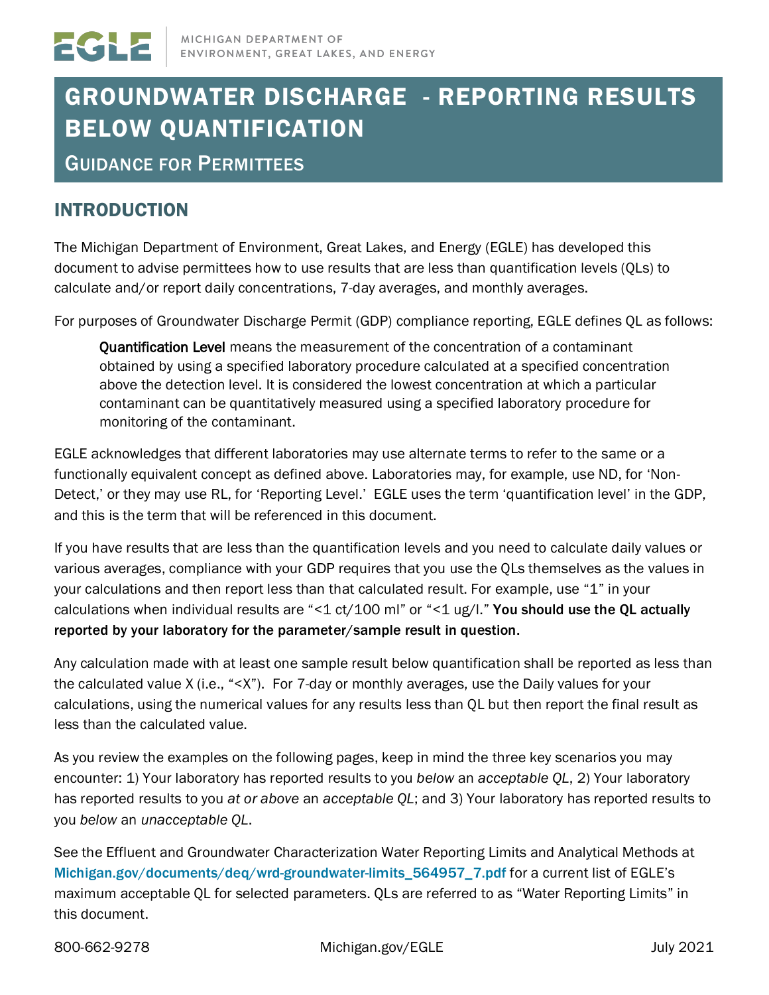# GROUNDWATER DISCHARGE - REPORTING RESULTS BELOW QUANTIFICATION

GUIDANCE FOR PERMITTEES

## INTRODUCTION

The Michigan Department of Environment, Great Lakes, and Energy (EGLE) has developed this document to advise permittees how to use results that are less than quantification levels (QLs) to calculate and/or report daily concentrations, 7-day averages, and monthly averages.

For purposes of Groundwater Discharge Permit (GDP) compliance reporting, EGLE defines QL as follows:

Quantification Level means the measurement of the concentration of a contaminant obtained by using a specified laboratory procedure calculated at a specified concentration above the detection level. It is considered the lowest concentration at which a particular contaminant can be quantitatively measured using a specified laboratory procedure for monitoring of the contaminant.

EGLE acknowledges that different laboratories may use alternate terms to refer to the same or a functionally equivalent concept as defined above. Laboratories may, for example, use ND, for 'Non-Detect,' or they may use RL, for 'Reporting Level.' EGLE uses the term 'quantification level' in the GDP, and this is the term that will be referenced in this document.

If you have results that are less than the quantification levels and you need to calculate daily values or various averages, compliance with your GDP requires that you use the QLs themselves as the values in your calculations and then report less than that calculated result. For example, use "1" in your calculations when individual results are "<1 ct/100 ml" or "<1 ug/l." You should use the QL actually reported by your laboratory for the parameter/sample result in question.

Any calculation made with at least one sample result below quantification shall be reported as less than the calculated value X (i.e., "<X"). For 7-day or monthly averages, use the Daily values for your calculations, using the numerical values for any results less than QL but then report the final result as less than the calculated value.

As you review the examples on the following pages, keep in mind the three key scenarios you may encounter: 1) Your laboratory has reported results to you *below* an *acceptable QL*, 2) Your laboratory has reported results to you *at or above* an *acceptable QL*; and 3) Your laboratory has reported results to you *below* an *unacceptable QL*.

See the Effluent and Groundwater Characterization Water Reporting Limits and Analytical Methods at [Michigan.gov/documents/deq/wrd-groundwater-limits\\_564957\\_7.pdf](https://www.michigan.gov/documents/deq/wrd-groundwater-limits_564957_7.pdf) for a current list of EGLE's maximum acceptable QL for selected parameters. QLs are referred to as "Water Reporting Limits" in this document.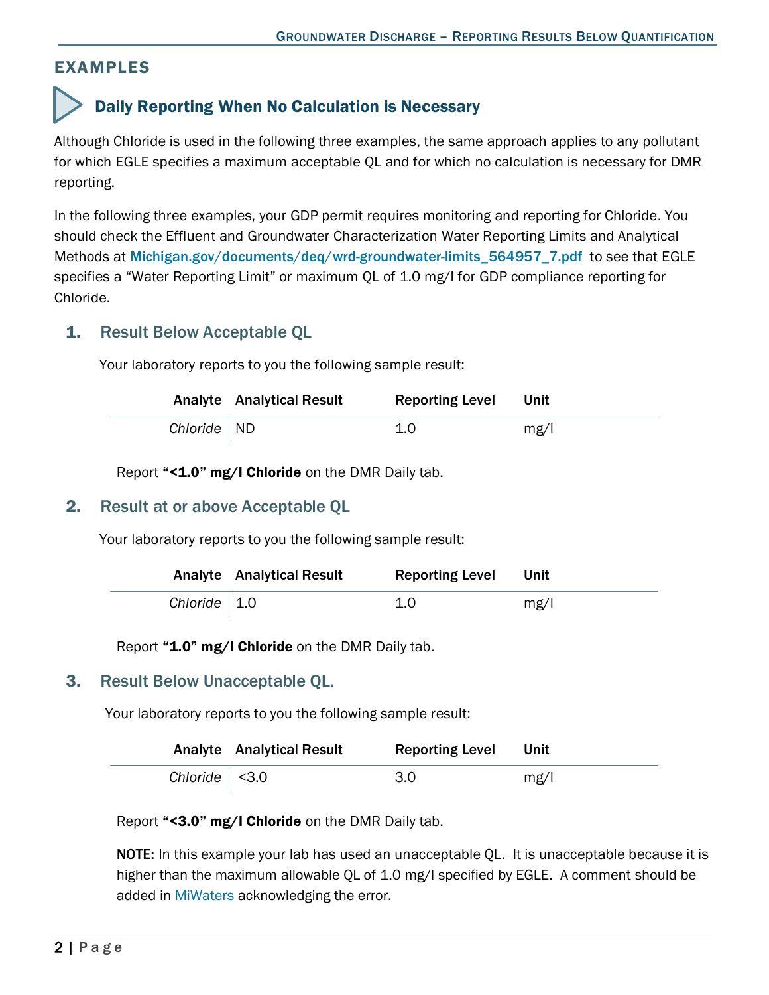### EXAMPLES

# Daily Reporting When No Calculation is Necessary

Although Chloride is used in the following three examples, the same approach applies to any pollutant for which EGLE specifies a maximum acceptable QL and for which no calculation is necessary for DMR reporting.

In the following three examples, your GDP permit requires monitoring and reporting for Chloride. You should check the Effluent and Groundwater Characterization Water Reporting Limits and Analytical Methods at [Michigan.gov/documents/deq/wrd-groundwater-limits\\_564957\\_7.pdf](https://www.michigan.gov/documents/deq/wrd-groundwater-limits_564957_7.pdf) to see that EGLE specifies a "Water Reporting Limit" or maximum QL of 1.0 mg/l for GDP compliance reporting for Chloride.

### 1. Result Below Acceptable QL

Your laboratory reports to you the following sample result:

|               | <b>Analyte</b> Analytical Result | <b>Reporting Level</b> | Unit |
|---------------|----------------------------------|------------------------|------|
| Chloride   ND |                                  | 1.0                    | mg/l |

Report "<1.0" mg/I Chloride on the DMR Daily tab.

### 2. Result at or above Acceptable QL

Your laboratory reports to you the following sample result:

|                      | <b>Analyte</b> Analytical Result | <b>Reporting Level</b> | Unit |
|----------------------|----------------------------------|------------------------|------|
| Chloride $\vert$ 1.0 |                                  |                        | mg/l |

Report "1.0" mg/I Chloride on the DMR Daily tab.

### 3. Result Below Unacceptable QL.

Your laboratory reports to you the following sample result:

|                   | <b>Analyte</b> Analytical Result | <b>Reporting Level</b> | Unit |
|-------------------|----------------------------------|------------------------|------|
| Chloride $ $ <3.0 |                                  | 3.0                    | mg/l |

Report "<3.0" mg/I Chloride on the DMR Daily tab.

NOTE: In this example your lab has used an unacceptable QL. It is unacceptable because it is higher than the maximum allowable QL of 1.0 mg/l specified by EGLE. A comment should be added in [MiWaters](https://miwaters.deq.state.mi.us/miwaters/external/home) acknowledging the error.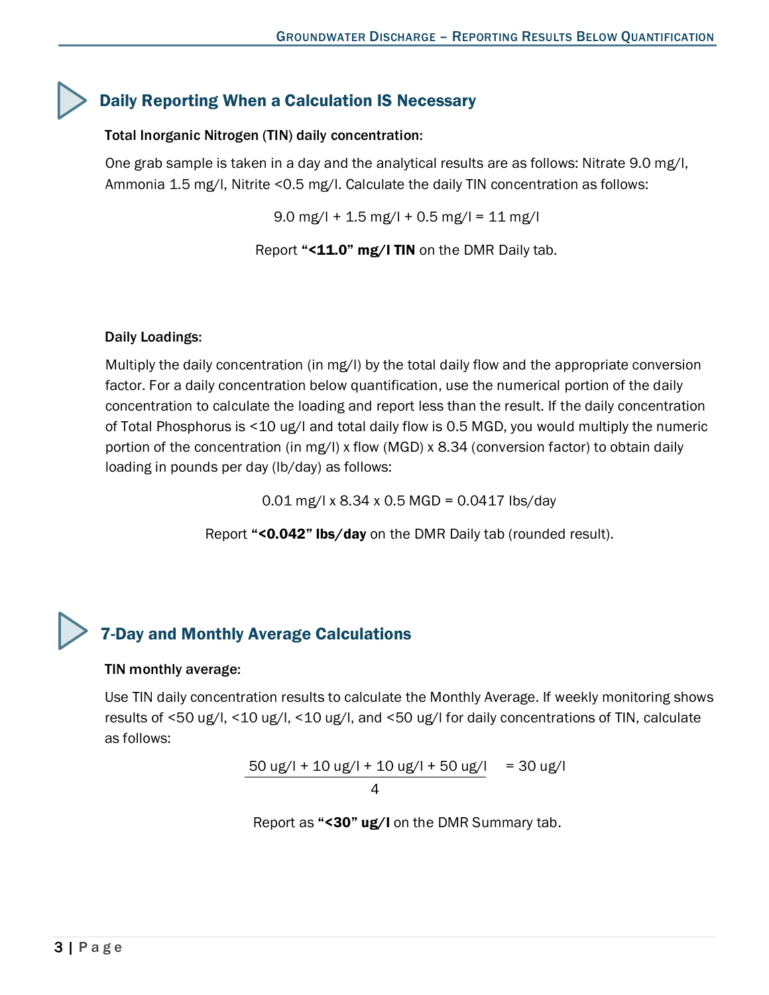### Daily Reporting When a Calculation IS Necessary

### Total Inorganic Nitrogen (TIN) daily concentration:

One grab sample is taken in a day and the analytical results are as follows: Nitrate 9.0 mg/l, Ammonia 1.5 mg/l, Nitrite <0.5 mg/l. Calculate the daily TIN concentration as follows:

9.0 mg/l + 1.5 mg/l + 0.5 mg/l = 11 mg/l

Report "<11.0" mg/I TIN on the DMR Daily tab.

### Daily Loadings:

Multiply the daily concentration (in mg/l) by the total daily flow and the appropriate conversion factor. For a daily concentration below quantification, use the numerical portion of the daily concentration to calculate the loading and report less than the result. If the daily concentration of Total Phosphorus is <10 ug/l and total daily flow is 0.5 MGD, you would multiply the numeric portion of the concentration (in mg/l) x flow (MGD) x 8.34 (conversion factor) to obtain daily loading in pounds per day (lb/day) as follows:

0.01 mg/l x 8.34 x 0.5 MGD = 0.0417 lbs/day

Report "<0.042" lbs/day on the DMR Daily tab (rounded result).

# 7-Day and Monthly Average Calculations

#### TIN monthly average:

Use TIN daily concentration results to calculate the Monthly Average. If weekly monitoring shows results of <50 ug/l, <10 ug/l, <10 ug/l, and <50 ug/l for daily concentrations of TIN, calculate as follows:

$$
\frac{50 \text{ ug/l} + 10 \text{ ug/l} + 10 \text{ ug/l} + 50 \text{ ug/l}}{4} = 30 \text{ ug/l}
$$

Report as "<30" ug/I on the DMR Summary tab.